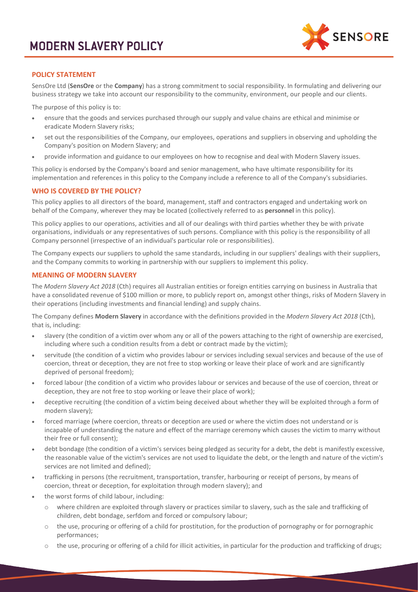

### **POLICY STATEMENT**

SensOre Ltd (**SensOre** or the **Company**) has a strong commitment to social responsibility. In formulating and delivering our business strategy we take into account our responsibility to the community, environment, our people and our clients.

The purpose of this policy is to:

- ensure that the goods and services purchased through our supply and value chains are ethical and minimise or eradicate Modern Slavery risks;
- set out the responsibilities of the Company, our employees, operations and suppliers in observing and upholding the Company's position on Modern Slavery; and
- provide information and guidance to our employees on how to recognise and deal with Modern Slavery issues.

This policy is endorsed by the Company's board and senior management, who have ultimate responsibility for its implementation and references in this policy to the Company include a reference to all of the Company's subsidiaries.

### **WHO IS COVERED BY THE POLICY?**

This policy applies to all directors of the board, management, staff and contractors engaged and undertaking work on behalf of the Company, wherever they may be located (collectively referred to as **personnel** in this policy).

This policy applies to our operations, activities and all of our dealings with third parties whether they be with private organisations, individuals or any representatives of such persons. Compliance with this policy is the responsibility of all Company personnel (irrespective of an individual's particular role or responsibilities).

The Company expects our suppliers to uphold the same standards, including in our suppliers' dealings with their suppliers, and the Company commits to working in partnership with our suppliers to implement this policy.

### **MEANING OF MODERN SLAVERY**

The *Modern Slavery Act 2018* (Cth) requires all Australian entities or foreign entities carrying on business in Australia that have a consolidated revenue of \$100 million or more, to publicly report on, amongst other things, risks of Modern Slavery in their operations (including investments and financial lending) and supply chains.

The Company defines **Modern Slavery** in accordance with the definitions provided in the *Modern Slavery Act 2018* (Cth), that is, including:

- slavery (the condition of a victim over whom any or all of the powers attaching to the right of ownership are exercised, including where such a condition results from a debt or contract made by the victim);
- servitude (the condition of a victim who provides labour or services including sexual services and because of the use of coercion, threat or deception, they are not free to stop working or leave their place of work and are significantly deprived of personal freedom);
- forced labour (the condition of a victim who provides labour or services and because of the use of coercion, threat or deception, they are not free to stop working or leave their place of work);
- deceptive recruiting (the condition of a victim being deceived about whether they will be exploited through a form of modern slavery);
- forced marriage (where coercion, threats or deception are used or where the victim does not understand or is incapable of understanding the nature and effect of the marriage ceremony which causes the victim to marry without their free or full consent);
- debt bondage (the condition of a victim's services being pledged as security for a debt, the debt is manifestly excessive, the reasonable value of the victim's services are not used to liquidate the debt, or the length and nature of the victim's services are not limited and defined);
- trafficking in persons (the recruitment, transportation, transfer, harbouring or receipt of persons, by means of coercion, threat or deception, for exploitation through modern slavery); and
- the worst forms of child labour, including:
	- o where children are exploited through slavery or practices similar to slavery, such as the sale and trafficking of children, debt bondage, serfdom and forced or compulsory labour;
	- o the use, procuring or offering of a child for prostitution, for the production of pornography or for pornographic performances;
	- $\circ$  the use, procuring or offering of a child for illicit activities, in particular for the production and trafficking of drugs;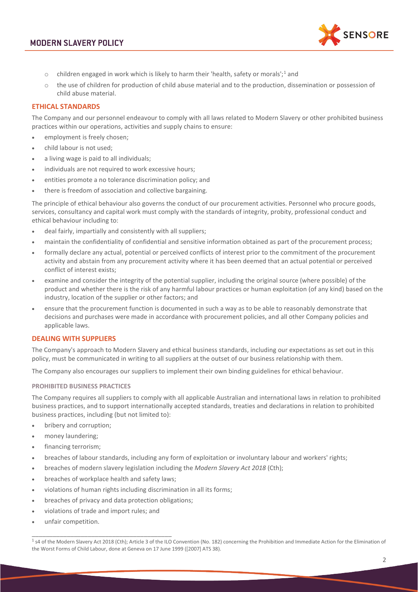

- $\circ$  children engaged in work which is likely to harm their 'health, safety or morals';<sup>[1](#page-1-0)</sup> and
- $\circ$  the use of children for production of child abuse material and to the production, dissemination or possession of child abuse material.

### **ETHICAL STANDARDS**

The Company and our personnel endeavour to comply with all laws related to Modern Slavery or other prohibited business practices within our operations, activities and supply chains to ensure:

- employment is freely chosen;
- child labour is not used;
- a living wage is paid to all individuals;
- individuals are not required to work excessive hours;
- entities promote a no tolerance discrimination policy; and
- there is freedom of association and collective bargaining.

The principle of ethical behaviour also governs the conduct of our procurement activities. Personnel who procure goods, services, consultancy and capital work must comply with the standards of integrity, probity, professional conduct and ethical behaviour including to:

- deal fairly, impartially and consistently with all suppliers;
- maintain the confidentiality of confidential and sensitive information obtained as part of the procurement process;
- formally declare any actual, potential or perceived conflicts of interest prior to the commitment of the procurement activity and abstain from any procurement activity where it has been deemed that an actual potential or perceived conflict of interest exists;
- examine and consider the integrity of the potential supplier, including the original source (where possible) of the product and whether there is the risk of any harmful labour practices or human exploitation (of any kind) based on the industry, location of the supplier or other factors; and
- ensure that the procurement function is documented in such a way as to be able to reasonably demonstrate that decisions and purchases were made in accordance with procurement policies, and all other Company policies and applicable laws.

### **DEALING WITH SUPPLIERS**

The Company's approach to Modern Slavery and ethical business standards, including our expectations as set out in this policy, must be communicated in writing to all suppliers at the outset of our business relationship with them.

The Company also encourages our suppliers to implement their own binding guidelines for ethical behaviour.

#### **PROHIBITED BUSINESS PRACTICES**

The Company requires all suppliers to comply with all applicable Australian and international laws in relation to prohibited business practices, and to support internationally accepted standards, treaties and declarations in relation to prohibited business practices, including (but not limited to):

- bribery and corruption;
- money laundering;
- financing terrorism;
- breaches of labour standards, including any form of exploitation or involuntary labour and workers' rights;
- breaches of modern slavery legislation including the *Modern Slavery Act 2018* (Cth);
- breaches of workplace health and safety laws;
- violations of human rights including discrimination in all its forms;
- breaches of privacy and data protection obligations;
- violations of trade and import rules; and

\_\_\_\_\_\_\_\_\_\_\_\_\_\_\_\_\_\_\_\_\_\_\_\_\_\_\_\_\_\_\_\_\_\_\_\_\_\_\_\_

• unfair competition.

<span id="page-1-0"></span><sup>&</sup>lt;sup>1</sup> s4 of the Modern Slavery Act 2018 (Cth); Article 3 of the ILO Convention (No. 182) concerning the Prohibition and Immediate Action for the Elimination of the Worst Forms of Child Labour, done at Geneva on 17 June 1999 ([2007] ATS 38).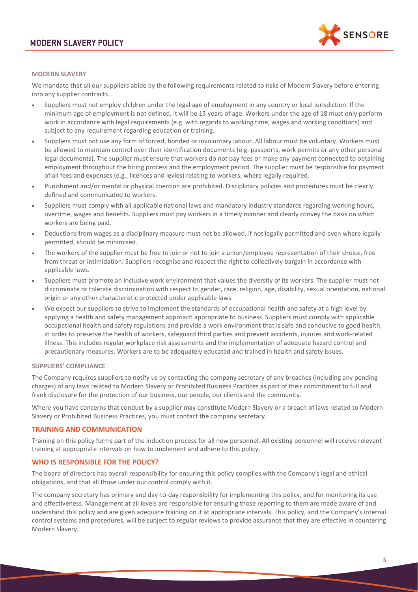

### **MODERN SLAVERY**

We mandate that all our suppliers abide by the following requirements related to risks of Modern Slavery before entering into any supplier contracts.

- Suppliers must not employ children under the legal age of employment in any country or local jurisdiction. If the minimum age of employment is not defined, it will be 15 years of age. Workers under the age of 18 must only perform work in accordance with legal requirements (e.g. with regards to working time, wages and working conditions) and subject to any requirement regarding education or training.
- Suppliers must not use any form of forced, bonded or involuntary labour. All labour must be voluntary. Workers must be allowed to maintain control over their identification documents (e.g. passports, work permits or any other personal legal documents). The supplier must ensure that workers do not pay fees or make any payment connected to obtaining employment throughout the hiring process and the employment period. The supplier must be responsible for payment of all fees and expenses (e.g., licences and levies) relating to workers, where legally required.
- Punishment and/or mental or physical coercion are prohibited. Disciplinary policies and procedures must be clearly defined and communicated to workers.
- Suppliers must comply with all applicable national laws and mandatory industry standards regarding working hours, overtime, wages and benefits. Suppliers must pay workers in a timely manner and clearly convey the basis on which workers are being paid.
- Deductions from wages as a disciplinary measure must not be allowed, if not legally permitted and even where legally permitted, should be minimised.
- The workers of the supplier must be free to join or not to join a union/employee representation of their choice, free from threat or intimidation. Suppliers recognise and respect the right to collectively bargain in accordance with applicable laws.
- Suppliers must promote an inclusive work environment that values the diversity of its workers. The supplier must not discriminate or tolerate discrimination with respect to gender, race, religion, age, disability, sexual orientation, national origin or any other characteristic protected under applicable laws.
- We expect our suppliers to strive to implement the standards of occupational health and safety at a high level by applying a health and safety management approach appropriate to business. Suppliers must comply with applicable occupational health and safety regulations and provide a work environment that is safe and conducive to good health, in order to preserve the health of workers, safeguard third parties and prevent accidents, injuries and work-related illness. This includes regular workplace risk assessments and the implementation of adequate hazard control and precautionary measures. Workers are to be adequately educated and trained in health and safety issues.

### **SUPPLIERS' COMPLIANCE**

The Company requires suppliers to notify us by contacting the company secretary of any breaches (including any pending charges) of any laws related to Modern Slavery or Prohibited Business Practices as part of their commitment to full and frank disclosure for the protection of our business, our people, our clients and the community.

Where you have concerns that conduct by a supplier may constitute Modern Slavery or a breach of laws related to Modern Slavery or Prohibited Business Practices, you must contact the company secretary.

### **TRAINING AND COMMUNICATION**

Training on this policy forms part of the induction process for all new personnel. All existing personnel will receive relevant training at appropriate intervals on how to implement and adhere to this policy.

### **WHO IS RESPONSIBLE FOR THE POLICY?**

The board of directors has overall responsibility for ensuring this policy complies with the Company's legal and ethical obligations, and that all those under our control comply with it.

The company secretary has primary and day-to-day responsibility for implementing this policy, and for monitoring its use and effectiveness. Management at all levels are responsible for ensuring those reporting to them are made aware of and understand this policy and are given adequate training on it at appropriate intervals. This policy, and the Company's internal control systems and procedures, will be subject to regular reviews to provide assurance that they are effective in countering Modern Slavery.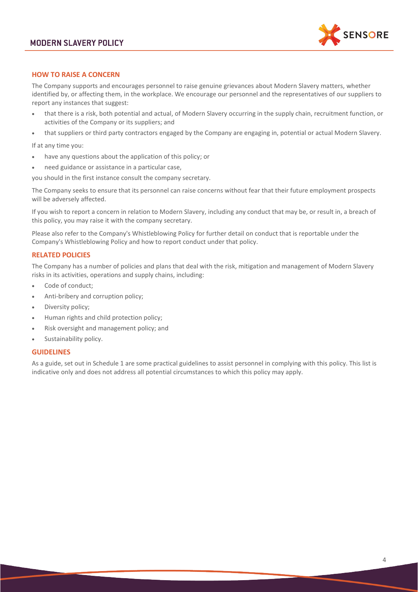

### **HOW TO RAISE A CONCERN**

The Company supports and encourages personnel to raise genuine grievances about Modern Slavery matters, whether identified by, or affecting them, in the workplace. We encourage our personnel and the representatives of our suppliers to report any instances that suggest:

- that there is a risk, both potential and actual, of Modern Slavery occurring in the supply chain, recruitment function, or activities of the Company or its suppliers; and
- that suppliers or third party contractors engaged by the Company are engaging in, potential or actual Modern Slavery.

If at any time you:

- have any questions about the application of this policy; or
- need guidance or assistance in a particular case,

you should in the first instance consult the company secretary.

The Company seeks to ensure that its personnel can raise concerns without fear that their future employment prospects will be adversely affected.

If you wish to report a concern in relation to Modern Slavery, including any conduct that may be, or result in, a breach of this policy, you may raise it with the company secretary.

Please also refer to the Company's Whistleblowing Policy for further detail on conduct that is reportable under the Company's Whistleblowing Policy and how to report conduct under that policy.

### **RELATED POLICIES**

The Company has a number of policies and plans that deal with the risk, mitigation and management of Modern Slavery risks in its activities, operations and supply chains, including:

- Code of conduct;
- Anti-bribery and corruption policy;
- Diversity policy;
- Human rights and child protection policy;
- Risk oversight and management policy; and
- Sustainability policy.

### **GUIDELINES**

As a guide, set out in Schedule 1 are some practical guidelines to assist personnel in complying with this policy. This list is indicative only and does not address all potential circumstances to which this policy may apply.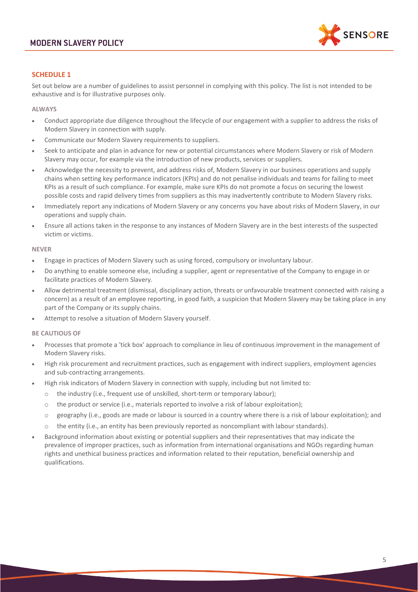

# **SCHEDULE 1**

Set out below are a number of guidelines to assist personnel in complying with this policy. The list is not intended to be exhaustive and is for illustrative purposes only.

### **ALWAYS**

- Conduct appropriate due diligence throughout the lifecycle of our engagement with a supplier to address the risks of Modern Slavery in connection with supply.
- Communicate our Modern Slavery requirements to suppliers.
- Seek to anticipate and plan in advance for new or potential circumstances where Modern Slavery or risk of Modern Slavery may occur, for example via the introduction of new products, services or suppliers.
- Acknowledge the necessity to prevent, and address risks of, Modern Slavery in our business operations and supply chains when setting key performance indicators (KPIs) and do not penalise individuals and teams for failing to meet KPIs as a result of such compliance. For example, make sure KPIs do not promote a focus on securing the lowest possible costs and rapid delivery times from suppliers as this may inadvertently contribute to Modern Slavery risks.
- Immediately report any indications of Modern Slavery or any concerns you have about risks of Modern Slavery, in our operations and supply chain.
- Ensure all actions taken in the response to any instances of Modern Slavery are in the best interests of the suspected victim or victims.

#### **NEVER**

- Engage in practices of Modern Slavery such as using forced, compulsory or involuntary labour.
- Do anything to enable someone else, including a supplier, agent or representative of the Company to engage in or facilitate practices of Modern Slavery.
- Allow detrimental treatment (dismissal, disciplinary action, threats or unfavourable treatment connected with raising a concern) as a result of an employee reporting, in good faith, a suspicion that Modern Slavery may be taking place in any part of the Company or its supply chains.
- Attempt to resolve a situation of Modern Slavery yourself.

### **BE CAUTIOUS OF**

- Processes that promote a 'tick box' approach to compliance in lieu of continuous improvement in the management of Modern Slavery risks.
- High risk procurement and recruitment practices, such as engagement with indirect suppliers, employment agencies and sub-contracting arrangements.
- High risk indicators of Modern Slavery in connection with supply, including but not limited to:
	- o the industry (i.e., frequent use of unskilled, short-term or temporary labour);
	- $\circ$  the product or service (i.e., materials reported to involve a risk of labour exploitation);
	- o geography (i.e., goods are made or labour is sourced in a country where there is a risk of labour exploitation); and
	- the entity (i.e., an entity has been previously reported as noncompliant with labour standards).
- Background information about existing or potential suppliers and their representatives that may indicate the prevalence of improper practices, such as information from international organisations and NGOs regarding human rights and unethical business practices and information related to their reputation, beneficial ownership and qualifications.